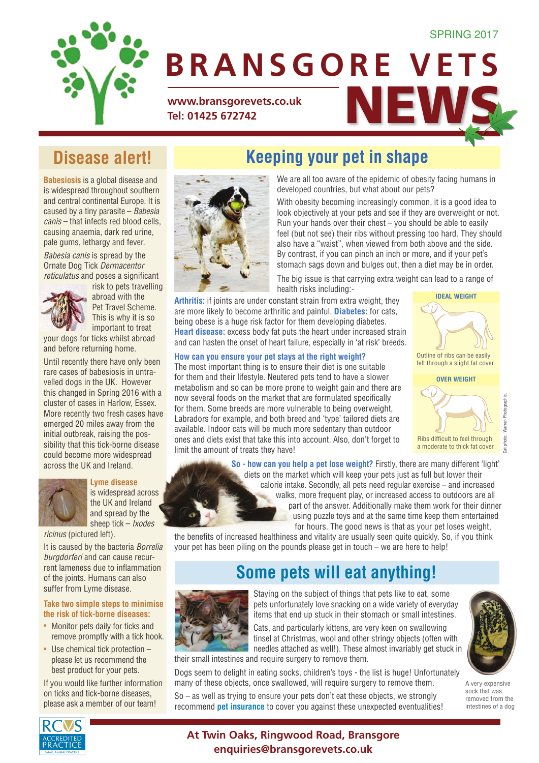#### SPRING 2017



# **BRANSGORE VETS**

WWW.bransgorevets.co.uk<br>Tel: 01425 672742 **Tel: 01425 672742**

**Babesiosis** is a global disease and is widespread throughout southern and central continental Europe. It is caused by a tiny parasite – *Babesia canis* – that infects red blood cells, causing anaemia, dark red urine, pale gums, lethargy and fever.

*Babesia canis* is spread by the Ornate Dog Tick *Dermacentor reticulatus* and poses a significant



risk to pets travelling abroad with the Pet Travel Scheme. This is why it is so important to treat

your dogs for ticks whilst abroad and before returning home.

Until recently there have only been rare cases of babesiosis in untravelled dogs in the UK. However this changed in Spring 2016 with a cluster of cases in Harlow, Essex. More recently two fresh cases have emerged 20 miles away from the initial outbreak, raising the possibility that this tick-borne disease could become more widespread across the UK and Ireland.



#### **Lyme disease**

is widespread across the UK and Ireland and spread by the sheep tick – *Ixodes* 

*ricinus* (pictured left).

It is caused by the bacteria *Borrelia burgdorferi* and can cause recurrent lameness due to inflammation of the joints. Humans can also suffer from Lyme disease.

#### **Take two simple steps to minimise the risk of tick-borne diseases:**

- Monitor pets daily for ticks and remove promptly with a tick hook.
- Use chemical tick protection please let us recommend the best product for your pets.

If you would like further information on ticks and tick-borne diseases, please ask a member of our team!



## **Disease alert! Keeping your pet in shape**

We are all too aware of the epidemic of obesity facing humans in developed countries, but what about our pets?

With obesity becoming increasingly common, it is a good idea to look objectively at your pets and see if they are overweight or not. Run your hands over their chest – you should be able to easily feel (but not see) their ribs without pressing too hard. They should also have a "waist", when viewed from both above and the side. By contrast, if you can pinch an inch or more, and if your pet's stomach sags down and bulges out, then a diet may be in order.

The big issue is that carrying extra weight can lead to a range of health risks including:-

**Arthritis:** if joints are under constant strain from extra weight, they are more likely to become arthritic and painful. **Diabetes:** for cats, being obese is a huge risk factor for them developing diabetes. **Heart disease:** excess body fat puts the heart under increased strain and can hasten the onset of heart failure, especially in 'at risk' breeds.

#### **How can you ensure your pet stays at the right weight?**

The most important thing is to ensure their diet is one suitable for them and their lifestyle. Neutered pets tend to have a slower metabolism and so can be more prone to weight gain and there are now several foods on the market that are formulated specifically for them. Some breeds are more vulnerable to being overweight, Labradors for example, and both breed and 'type' tailored diets are available. Indoor cats will be much more sedentary than outdoor ones and diets exist that take this into account. Also, don't forget to limit the amount of treats they have!

**IDEAL WEIGHT** Outline of ribs can be easily felt through a slight fat cover



**So - how can you help a pet lose weight?** Firstly, there are many different 'light' diets on the market which will keep your pets just as full but lower their calorie intake. Secondly, all pets need regular exercise – and increased walks, more frequent play, or increased access to outdoors are all part of the answer. Additionally make them work for their dinner using puzzle toys and at the same time keep them entertained for hours. The good news is that as your pet loses weight,

the benefits of increased healthiness and vitality are usually seen quite quickly. So, if you think your pet has been piling on the pounds please get in touch – we are here to help!

## **Some pets will eat anything!**



Staying on the subject of things that pets like to eat, some pets unfortunately love snacking on a wide variety of everyday items that end up stuck in their stomach or small intestines.

Cats, and particularly kittens, are very keen on swallowing tinsel at Christmas, wool and other stringy objects (often with needles attached as well!). These almost invariably get stuck in their small intestines and require surgery to remove them.

Dogs seem to delight in eating socks, children's toys - the list is huge! Unfortunately many of these objects, once swallowed, will require surgery to remove them.

So – as well as trying to ensure your pets don't eat these objects, we strongly recommend **pet insurance** to cover you against these unexpected eventualities!



A very expensive sock that was removed from the intestines of a dog



### **At Twin Oaks, Ringwood Road, Bransgore enquiries@bransgorevets.co.uk**